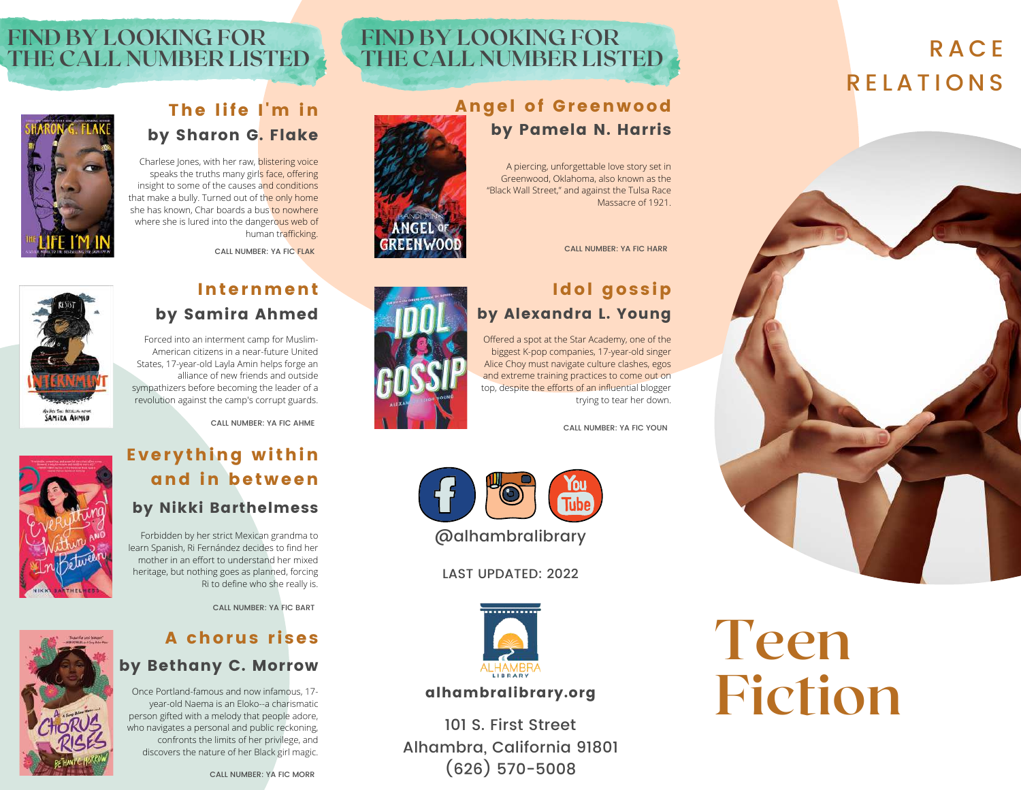#### **FIND BY LOOKING FOR THE CALL NUMBER LISTED**

## **FIND BY LOOKING FOR THE CALL NUMBER LISTED**

#### Angel of Greenwood by Pamela N. Harris

A piercing, unforgettable love story set in Greenwood, Oklahoma, also known as the "Black Wall Street," and against the Tulsa Race Massacre of 1921.

CALL NUMBER: YA FIC HARR

# Idol gossip

Offered a spot at the Star Academy, one of the biggest K-pop companies, 17-year-old singer Alice Choy must navigate culture clashes, egos and extreme training practices to come out on top, despite the efforts of an influential blogger trying to tear her down.



# by Alexandra L. Young

CALL NUMBER: YA FIC YOUN



LAST UPDATED: 2022



#### alhambralibrary.org

101 S. First Street Alhambra, California 91801 (626) 570-5008

#### The life I'm in by Sharon G. Flake

Charlese Jones, with her raw, blistering voice speaks the truths many girls face, offering insight to some of the causes and conditions that make a bully. Turned out of the only home she has known, Char boards a bus to nowhere where she is lured into the dangerous web of human trafficking.

CALL NUMBER: YA FIC FLAK



#### Internment by Samira Ahmed

Forced into an interment camp for Muslim-American citizens in a near-future United States, 17-year-old Layla Amin helps forge an alliance of new friends and outside sympathizers before becoming the leader of a revolution against the camp's corrupt guards.



## Everything within and in between by Nikki Barthelmess

Forbidden by her strict Mexican grandma to learn Spanish, Ri Fernández decides to find her mother in an effort to understand her mixed heritage, but nothing goes as planned, forcing Ri to define who she really is.

CALL NUMBER: YA FIC BART

#### A chorus rises by Bethany C. Morrow

Once Portland-famous and now infamous, 17 year-old Naema is an Eloko--a charismatic person gifted with a melody that people adore, who navigates a personal and public reckoning, confronts the limits of her privilege, and discovers the nature of her Black girl magic.



**SAMIRA AHMED** 





R A C E

**R FI A TIONS**